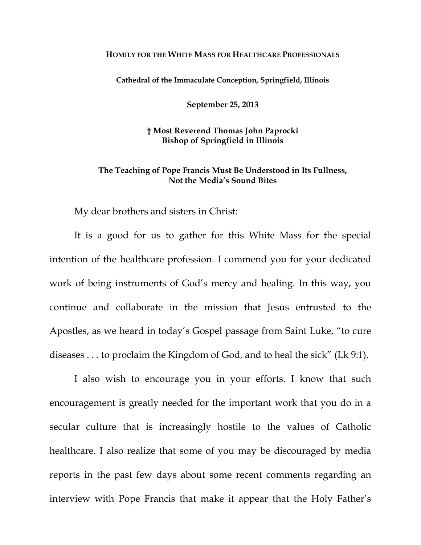## **HOMILY FOR THE WHITE MASS FOR HEALTHCARE PROFESSIONALS**

**Cathedral of the Immaculate Conception, Springfield, Illinois** 

**September 25, 2013** 

**† Most Reverend Thomas John Paprocki Bishop of Springfield in Illinois** 

## **The Teaching of Pope Francis Must Be Understood in Its Fullness, Not the Media's Sound Bites**

My dear brothers and sisters in Christ:

It is a good for us to gather for this White Mass for the special intention of the healthcare profession. I commend you for your dedicated work of being instruments of God's mercy and healing. In this way, you continue and collaborate in the mission that Jesus entrusted to the Apostles, as we heard in today's Gospel passage from Saint Luke, "to cure diseases . . . to proclaim the Kingdom of God, and to heal the sick" (Lk 9:1).

I also wish to encourage you in your efforts. I know that such encouragement is greatly needed for the important work that you do in a secular culture that is increasingly hostile to the values of Catholic healthcare. I also realize that some of you may be discouraged by media reports in the past few days about some recent comments regarding an interview with Pope Francis that make it appear that the Holy Father's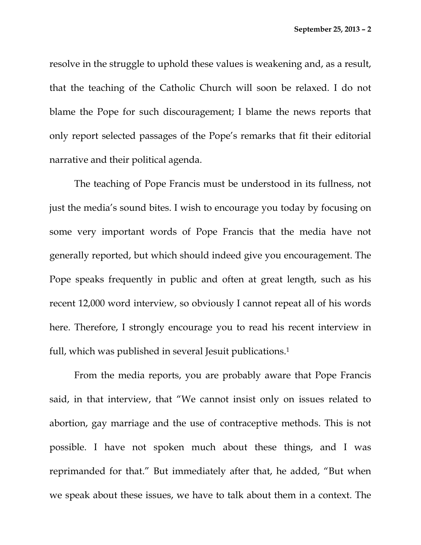resolve in the struggle to uphold these values is weakening and, as a result, that the teaching of the Catholic Church will soon be relaxed. I do not blame the Pope for such discouragement; I blame the news reports that only report selected passages of the Pope's remarks that fit their editorial narrative and their political agenda.

The teaching of Pope Francis must be understood in its fullness, not just the media's sound bites. I wish to encourage you today by focusing on some very important words of Pope Francis that the media have not generally reported, but which should indeed give you encouragement. The Pope speaks frequently in public and often at great length, such as his recent 12,000 word interview, so obviously I cannot repeat all of his words here. Therefore, I strongly encourage you to read his recent interview in full, which was published in several Jesuit publications.<sup>1</sup>

From the media reports, you are probably aware that Pope Francis said, in that interview, that "We cannot insist only on issues related to abortion, gay marriage and the use of contraceptive methods. This is not possible. I have not spoken much about these things, and I was reprimanded for that." But immediately after that, he added, "But when we speak about these issues, we have to talk about them in a context. The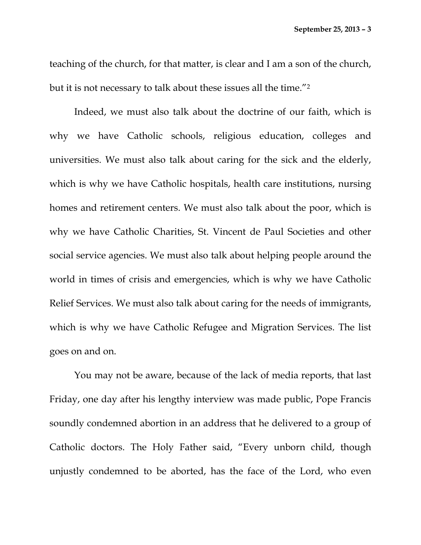teaching of the church, for that matter, is clear and I am a son of the church, but it is not necessary to talk about these issues all the time."2

Indeed, we must also talk about the doctrine of our faith, which is why we have Catholic schools, religious education, colleges and universities. We must also talk about caring for the sick and the elderly, which is why we have Catholic hospitals, health care institutions, nursing homes and retirement centers. We must also talk about the poor, which is why we have Catholic Charities, St. Vincent de Paul Societies and other social service agencies. We must also talk about helping people around the world in times of crisis and emergencies, which is why we have Catholic Relief Services. We must also talk about caring for the needs of immigrants, which is why we have Catholic Refugee and Migration Services. The list goes on and on.

You may not be aware, because of the lack of media reports, that last Friday, one day after his lengthy interview was made public, Pope Francis soundly condemned abortion in an address that he delivered to a group of Catholic doctors. The Holy Father said, "Every unborn child, though unjustly condemned to be aborted, has the face of the Lord, who even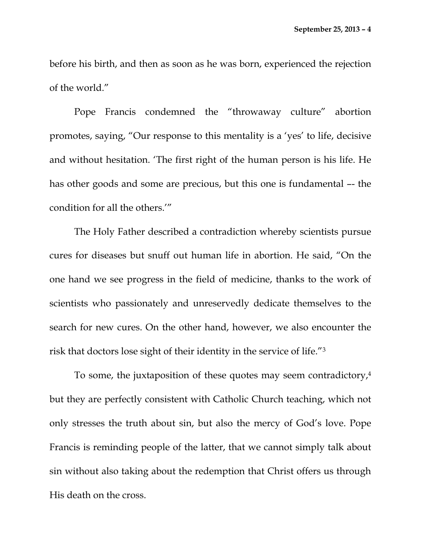before his birth, and then as soon as he was born, experienced the rejection of the world."

Pope Francis condemned the "throwaway culture" abortion promotes, saying, "Our response to this mentality is a 'yes' to life, decisive and without hesitation. 'The first right of the human person is his life. He has other goods and some are precious, but this one is fundamental –- the condition for all the others.'"

The Holy Father described a contradiction whereby scientists pursue cures for diseases but snuff out human life in abortion. He said, "On the one hand we see progress in the field of medicine, thanks to the work of scientists who passionately and unreservedly dedicate themselves to the search for new cures. On the other hand, however, we also encounter the risk that doctors lose sight of their identity in the service of life."3

To some, the juxtaposition of these quotes may seem contradictory,4 but they are perfectly consistent with Catholic Church teaching, which not only stresses the truth about sin, but also the mercy of God's love. Pope Francis is reminding people of the latter, that we cannot simply talk about sin without also taking about the redemption that Christ offers us through His death on the cross.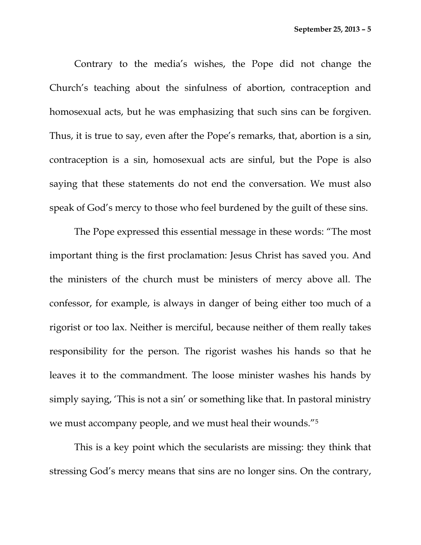Contrary to the media's wishes, the Pope did not change the Church's teaching about the sinfulness of abortion, contraception and homosexual acts, but he was emphasizing that such sins can be forgiven. Thus, it is true to say, even after the Pope's remarks, that, abortion is a sin, contraception is a sin, homosexual acts are sinful, but the Pope is also saying that these statements do not end the conversation. We must also speak of God's mercy to those who feel burdened by the guilt of these sins.

The Pope expressed this essential message in these words: "The most important thing is the first proclamation: Jesus Christ has saved you. And the ministers of the church must be ministers of mercy above all. The confessor, for example, is always in danger of being either too much of a rigorist or too lax. Neither is merciful, because neither of them really takes responsibility for the person. The rigorist washes his hands so that he leaves it to the commandment. The loose minister washes his hands by simply saying, 'This is not a sin' or something like that. In pastoral ministry we must accompany people, and we must heal their wounds."5

This is a key point which the secularists are missing: they think that stressing God's mercy means that sins are no longer sins. On the contrary,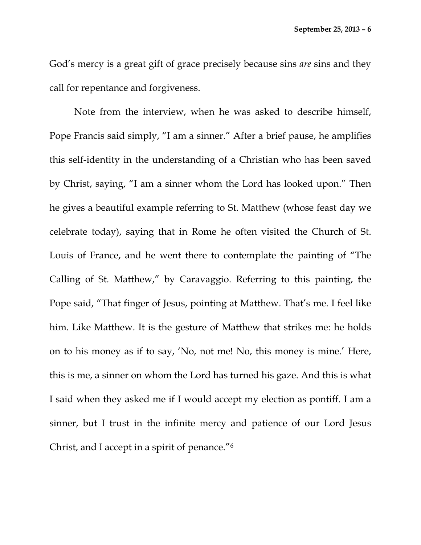God's mercy is a great gift of grace precisely because sins *are* sins and they call for repentance and forgiveness.

Note from the interview, when he was asked to describe himself, Pope Francis said simply, "I am a sinner." After a brief pause, he amplifies this self-identity in the understanding of a Christian who has been saved by Christ, saying, "I am a sinner whom the Lord has looked upon." Then he gives a beautiful example referring to St. Matthew (whose feast day we celebrate today), saying that in Rome he often visited the Church of St. Louis of France, and he went there to contemplate the painting of "The Calling of St. Matthew," by Caravaggio. Referring to this painting, the Pope said, "That finger of Jesus, pointing at Matthew. That's me. I feel like him. Like Matthew. It is the gesture of Matthew that strikes me: he holds on to his money as if to say, 'No, not me! No, this money is mine.' Here, this is me, a sinner on whom the Lord has turned his gaze. And this is what I said when they asked me if I would accept my election as pontiff. I am a sinner, but I trust in the infinite mercy and patience of our Lord Jesus Christ, and I accept in a spirit of penance."6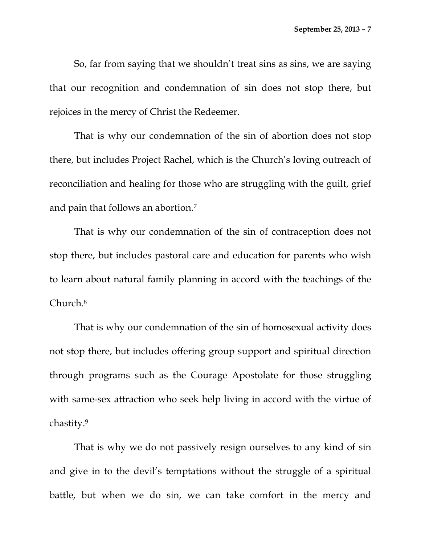So, far from saying that we shouldn't treat sins as sins, we are saying that our recognition and condemnation of sin does not stop there, but rejoices in the mercy of Christ the Redeemer.

That is why our condemnation of the sin of abortion does not stop there, but includes Project Rachel, which is the Church's loving outreach of reconciliation and healing for those who are struggling with the guilt, grief and pain that follows an abortion.7

That is why our condemnation of the sin of contraception does not stop there, but includes pastoral care and education for parents who wish to learn about natural family planning in accord with the teachings of the Church.8

That is why our condemnation of the sin of homosexual activity does not stop there, but includes offering group support and spiritual direction through programs such as the Courage Apostolate for those struggling with same-sex attraction who seek help living in accord with the virtue of chastity.9

That is why we do not passively resign ourselves to any kind of sin and give in to the devil's temptations without the struggle of a spiritual battle, but when we do sin, we can take comfort in the mercy and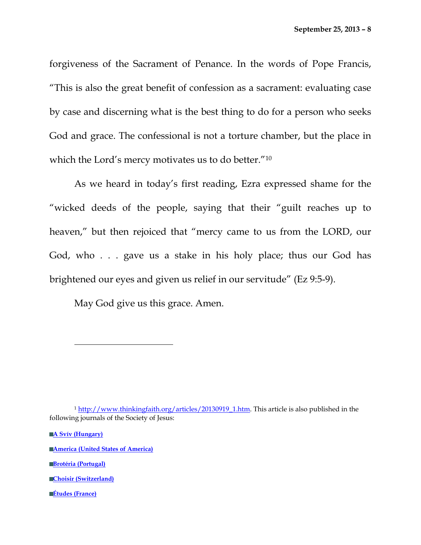forgiveness of the Sacrament of Penance. In the words of Pope Francis, "This is also the great benefit of confession as a sacrament: evaluating case by case and discerning what is the best thing to do for a person who seeks God and grace. The confessional is not a torture chamber, but the place in which the Lord's mercy motivates us to do better."10

As we heard in today's first reading, Ezra expressed shame for the "wicked deeds of the people, saying that their "guilt reaches up to heaven," but then rejoiced that "mercy came to us from the LORD, our God, who . . . gave us a stake in his holy place; thus our God has brightened our eyes and given us relief in our servitude" (Ez 9:5-9).

May God give us this grace. Amen.

**A Svív (Hungary)**

**America (United States of America)**

**Brotéria (Portugal)**

**Choisir (Switzerland)**

**Études (France)**

<sup>1</sup> http://www.thinkingfaith.org/articles/20130919\_1.htm. This article is also published in the following journals of the Society of Jesus: